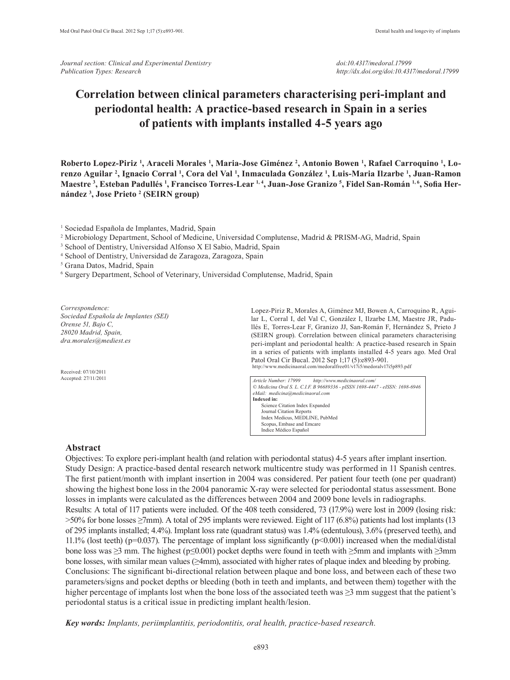*Journal section: Clinical and Experimental Dentistry Publication Types: Research*

*doi:10.4317/medoral.17999 http://dx.doi.org/doi:10.4317/medoral.17999*

# **Correlation between clinical parameters characterising peri-implant and periodontal health: A practice-based research in Spain in a series of patients with implants installed 4-5 years ago**

Roberto Lopez-Piriz <sup>1</sup>, Araceli Morales <sup>1</sup>, Maria-Jose Giménez <sup>2</sup>, Antonio Bowen <sup>1</sup>, Rafael Carroquino <sup>1</sup>, Lo**renzo Aguilar 2 , Ignacio Corral 1 , Cora del Val 1 , Inmaculada González 1 , Luis-Maria Ilzarbe 1 , Juan-Ramon Maestre 3 , Esteban Padullés 1 , Francisco Torres-Lear 1, 4, Juan-Jose Granizo 5 , Fidel San-Román 1, 6, Sofia Hernández 3 , Jose Prieto 2 (SEIRN group)**

<sup>1</sup> Sociedad Española de Implantes, Madrid, Spain

2 Microbiology Department, School of Medicine, Universidad Complutense, Madrid & PRISM-AG, Madrid, Spain

- 3 School of Dentistry, Universidad Alfonso X El Sabio, Madrid, Spain
- 4 School of Dentistry, Universidad de Zaragoza, Zaragoza, Spain

5 Grana Datos, Madrid, Spain

6 Surgery Department, School of Veterinary, Universidad Complutense, Madrid, Spain

*Correspondence: Sociedad Española de Implantes (SEI) Orense 51, Bajo C, 28020 Madrid, Spain, dra.morales@mediest.es*

Received: 07/10/2011 Accepted: 27/11/2011 Lopez-Piriz R, Morales A, Giménez MJ, Bowen A, Carroquino R, Aguilar L, Corral I, del Val C, González I, Ilzarbe LM, Maestre JR, Padullés E, Torres-Lear F, Granizo JJ, San-Román F, Hernández S, Prieto J (SEIRN group). Correlation between clinical parameters characterising peri-implant and periodontal health: A practice-based research in Spain in a series of patients with implants installed 4-5 years ago. Med Oral Patol Oral Cir Bucal. 2012 Sep 1;17 (5):e893-901. http://www.medicinaoral.com/medoralfree01/v17i5/medoralv17i5p893.pdf

*Article Number: 17999 http://www.medicinaoral.com/ © Medicina Oral S. L. C.I.F. B 96689336 - pISSN 1698-4447 - eISSN: 1698-6946 eMail: medicina@medicinaoral.com*  **Indexed in:**  Science Citation Index Expanded Journal Citation Reports Index Medicus, MEDLINE, PubMed Scopus, Embase and Emcare Indice Médico Español

#### **Abstract**

Objectives: To explore peri-implant health (and relation with periodontal status) 4-5 years after implant insertion. Study Design: A practice-based dental research network multicentre study was performed in 11 Spanish centres. The first patient/month with implant insertion in 2004 was considered. Per patient four teeth (one per quadrant) showing the highest bone loss in the 2004 panoramic X-ray were selected for periodontal status assessment. Bone losses in implants were calculated as the differences between 2004 and 2009 bone levels in radiographs. Results: A total of 117 patients were included. Of the 408 teeth considered, 73 (17.9%) were lost in 2009 (losing risk:  $>50\%$  for bone losses  $\geq$ 7mm). A total of 295 implants were reviewed. Eight of 117 (6.8%) patients had lost implants (13 of 295 implants installed; 4.4%). Implant loss rate (quadrant status) was 1.4% (edentulous), 3.6% (preserved teeth), and 11.1% (lost teeth) ( $p=0.037$ ). The percentage of implant loss significantly ( $p<0.001$ ) increased when the medial/distal bone loss was ≥3 mm. The highest (p≤0.001) pocket depths were found in teeth with ≥5mm and implants with ≥3mm bone losses, with similar mean values (≥4mm), associated with higher rates of plaque index and bleeding by probing. Conclusions: The significant bi-directional relation between plaque and bone loss, and between each of these two parameters/signs and pocket depths or bleeding (both in teeth and implants, and between them) together with the higher percentage of implants lost when the bone loss of the associated teeth was  $\geq$ 3 mm suggest that the patient's periodontal status is a critical issue in predicting implant health/lesion.

*Key words: Implants, periimplantitis, periodontitis, oral health, practice-based research.*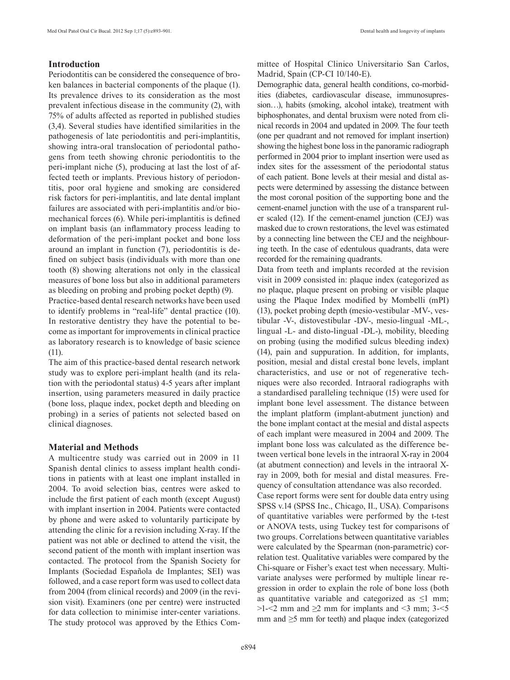# **Introduction**

Periodontitis can be considered the consequence of broken balances in bacterial components of the plaque (1). Its prevalence drives to its consideration as the most prevalent infectious disease in the community (2), with 75% of adults affected as reported in published studies (3,4). Several studies have identified similarities in the pathogenesis of late periodontitis and peri-implantitis, showing intra-oral translocation of periodontal pathogens from teeth showing chronic periodontitis to the peri-implant niche (5), producing at last the lost of affected teeth or implants. Previous history of periodontitis, poor oral hygiene and smoking are considered risk factors for peri-implantitis, and late dental implant failures are associated with peri-implantitis and/or biomechanical forces (6). While peri-implantitis is defined on implant basis (an inflammatory process leading to deformation of the peri-implant pocket and bone loss around an implant in function (7), periodontitis is defined on subject basis (individuals with more than one tooth (8) showing alterations not only in the classical measures of bone loss but also in additional parameters as bleeding on probing and probing pocket depth) (9).

Practice-based dental research networks have been used to identify problems in "real-life" dental practice (10). In restorative dentistry they have the potential to become as important for improvements in clinical practice as laboratory research is to knowledge of basic science (11).

The aim of this practice-based dental research network study was to explore peri-implant health (and its relation with the periodontal status) 4-5 years after implant insertion, using parameters measured in daily practice (bone loss, plaque index, pocket depth and bleeding on probing) in a series of patients not selected based on clinical diagnoses.

# **Material and Methods**

A multicentre study was carried out in 2009 in 11 Spanish dental clinics to assess implant health conditions in patients with at least one implant installed in 2004. To avoid selection bias, centres were asked to include the first patient of each month (except August) with implant insertion in 2004. Patients were contacted by phone and were asked to voluntarily participate by attending the clinic for a revision including X-ray. If the patient was not able or declined to attend the visit, the second patient of the month with implant insertion was contacted. The protocol from the Spanish Society for Implants (Sociedad Española de Implantes; SEI) was followed, and a case report form was used to collect data from 2004 (from clinical records) and 2009 (in the revision visit). Examiners (one per centre) were instructed for data collection to minimise inter-center variations. The study protocol was approved by the Ethics Committee of Hospital Clinico Universitario San Carlos, Madrid, Spain (CP-CI 10/140-E).

Demographic data, general health conditions, co-morbidities (diabetes, cardiovascular disease, immunosupression…), habits (smoking, alcohol intake), treatment with biphosphonates, and dental bruxism were noted from clinical records in 2004 and updated in 2009. The four teeth (one per quadrant and not removed for implant insertion) showing the highest bone loss in the panoramic radiograph performed in 2004 prior to implant insertion were used as index sites for the assessment of the periodontal status of each patient. Bone levels at their mesial and distal aspects were determined by assessing the distance between the most coronal position of the supporting bone and the cement-enamel junction with the use of a transparent ruler scaled (12). If the cement-enamel junction (CEJ) was masked due to crown restorations, the level was estimated by a connecting line between the CEJ and the neighbouring teeth. In the case of edentulous quadrants, data were recorded for the remaining quadrants.

Data from teeth and implants recorded at the revision visit in 2009 consisted in: plaque index (categorized as no plaque, plaque present on probing or visible plaque using the Plaque Index modified by Mombelli (mPI) (13), pocket probing depth (mesio-vestibular -MV-, vestibular -V-, distovestibular -DV-, mesio-lingual -ML-, lingual -L- and disto-lingual -DL-), mobility, bleeding on probing (using the modified sulcus bleeding index) (14), pain and suppuration. In addition, for implants, position, mesial and distal crestal bone levels, implant characteristics, and use or not of regenerative techniques were also recorded. Intraoral radiographs with a standardised paralleling technique (15) were used for implant bone level assessment. The distance between the implant platform (implant-abutment junction) and the bone implant contact at the mesial and distal aspects of each implant were measured in 2004 and 2009. The implant bone loss was calculated as the difference between vertical bone levels in the intraoral X-ray in 2004 (at abutment connection) and levels in the intraoral Xray in 2009, both for mesial and distal measures. Frequency of consultation attendance was also recorded.

Case report forms were sent for double data entry using SPSS v.14 (SPSS Inc., Chicago, Il., USA). Comparisons of quantitative variables were performed by the t-test or ANOVA tests, using Tuckey test for comparisons of two groups. Correlations between quantitative variables were calculated by the Spearman (non-parametric) correlation test. Qualitative variables were compared by the Chi-square or Fisher's exact test when necessary. Multivariate analyses were performed by multiple linear regression in order to explain the role of bone loss (both as quantitative variable and categorized as  $\leq 1$  mm;  $>1 - 2$  mm and  $\geq 2$  mm for implants and  $\leq 3$  mm; 3- $\leq 5$ mm and  $\geq$ 5 mm for teeth) and plaque index (categorized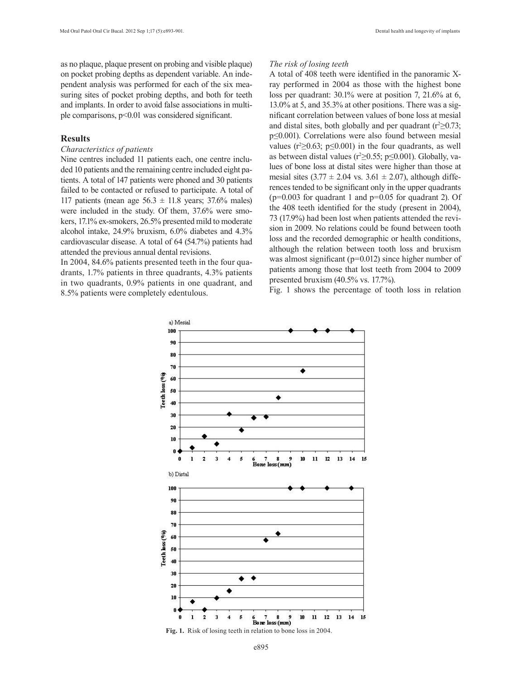as no plaque, plaque present on probing and visible plaque) on pocket probing depths as dependent variable. An independent analysis was performed for each of the six measuring sites of pocket probing depths, and both for teeth and implants. In order to avoid false associations in multiple comparisons, p<0.01 was considered significant.

# **Results**

# *Characteristics of patients*

Nine centres included 11 patients each, one centre included 10 patients and the remaining centre included eight patients. A total of 147 patients were phoned and 30 patients failed to be contacted or refused to participate. A total of 117 patients (mean age  $56.3 \pm 11.8$  years; 37.6% males) were included in the study. Of them, 37.6% were smokers, 17.1% ex-smokers, 26.5% presented mild to moderate alcohol intake, 24.9% bruxism, 6.0% diabetes and 4.3% cardiovascular disease. A total of 64 (54.7%) patients had attended the previous annual dental revisions.

In 2004, 84.6% patients presented teeth in the four quadrants, 1.7% patients in three quadrants, 4.3% patients in two quadrants, 0.9% patients in one quadrant, and 8.5% patients were completely edentulous.

### *The risk of losing teeth*

A total of 408 teeth were identified in the panoramic Xray performed in 2004 as those with the highest bone loss per quadrant: 30.1% were at position 7, 21.6% at 6, 13.0% at 5, and 35.3% at other positions. There was a significant correlation between values of bone loss at mesial and distal sites, both globally and per quadrant  $(r<sup>2</sup>\geq0.73)$ ; p≤0.001). Correlations were also found between mesial values ( $r^2 \ge 0.63$ ;  $p \le 0.001$ ) in the four quadrants, as well as between distal values ( $r \ge 0.55$ ; p $\le 0.001$ ). Globally, values of bone loss at distal sites were higher than those at mesial sites  $(3.77 \pm 2.04 \text{ vs. } 3.61 \pm 2.07)$ , although differences tended to be significant only in the upper quadrants  $(p=0.003$  for quadrant 1 and  $p=0.05$  for quadrant 2). Of the 408 teeth identified for the study (present in 2004), 73 (17.9%) had been lost when patients attended the revision in 2009. No relations could be found between tooth loss and the recorded demographic or health conditions, although the relation between tooth loss and bruxism was almost significant (p=0.012) since higher number of patients among those that lost teeth from 2004 to 2009 presented bruxism (40.5% vs. 17.7%).

Fig. 1 shows the percentage of tooth loss in relation

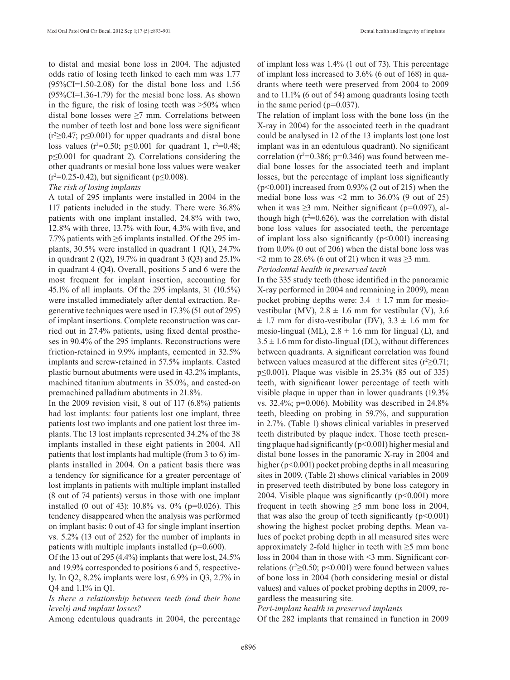to distal and mesial bone loss in 2004. The adjusted odds ratio of losing teeth linked to each mm was 1.77  $(95\%CI=1.50-2.08)$  for the distal bone loss and 1.56  $(95\%CI=1.36-1.79)$  for the mesial bone loss. As shown in the figure, the risk of losing teeth was >50% when distal bone losses were  $\geq$ 7 mm. Correlations between the number of teeth lost and bone loss were significant  $(r^2 \ge 0.47; p \le 0.001)$  for upper quadrants and distal bone loss values ( $r^2 = 0.50$ ;  $p \le 0.001$  for quadrant 1,  $r^2 = 0.48$ ; p≤0.001 for quadrant 2). Correlations considering the other quadrants or mesial bone loss values were weaker  $(r^2=0.25-0.42)$ , but significant (p $\leq 0.008$ ).

### *The risk of losing implants*

A total of 295 implants were installed in 2004 in the 117 patients included in the study. There were 36.8% patients with one implant installed, 24.8% with two, 12.8% with three, 13.7% with four, 4.3% with five, and 7.7% patients with ≥6 implants installed. Of the 295 implants, 30.5% were installed in quadrant 1 (Q1), 24.7% in quadrant 2 (Q2), 19.7% in quadrant 3 (Q3) and  $25.1\%$ in quadrant 4 (Q4). Overall, positions 5 and 6 were the most frequent for implant insertion, accounting for 45.1% of all implants. Of the 295 implants, 31 (10.5%) were installed immediately after dental extraction. Regenerative techniques were used in 17.3% (51 out of 295) of implant insertions. Complete reconstruction was carried out in 27.4% patients, using fixed dental prostheses in 90.4% of the 295 implants. Reconstructions were friction-retained in 9.9% implants, cemented in 32.5% implants and screw-retained in 57.5% implants. Casted plastic burnout abutments were used in 43.2% implants, machined titanium abutments in 35.0%, and casted-on premachined palladium abutments in 21.8%.

In the 2009 revision visit, 8 out of 117 (6.8%) patients had lost implants: four patients lost one implant, three patients lost two implants and one patient lost three implants. The 13 lost implants represented 34.2% of the 38 implants installed in these eight patients in 2004. All patients that lost implants had multiple (from 3 to 6) implants installed in 2004. On a patient basis there was a tendency for significance for a greater percentage of lost implants in patients with multiple implant installed (8 out of 74 patients) versus in those with one implant installed (0 out of 43):  $10.8\%$  vs.  $0\%$  (p=0.026). This tendency disappeared when the analysis was performed on implant basis: 0 out of 43 for single implant insertion vs. 5.2% (13 out of 252) for the number of implants in patients with multiple implants installed (p=0.600).

Of the 13 out of 295 (4.4%) implants that were lost, 24.5% and 19.9% corresponded to positions 6 and 5, respectively. In Q2, 8.2% implants were lost, 6.9% in Q3, 2.7% in Q4 and 1.1% in Q1.

# *Is there a relationship between teeth (and their bone levels) and implant losses?*

Among edentulous quadrants in 2004, the percentage

of implant loss was 1.4% (1 out of 73). This percentage of implant loss increased to 3.6% (6 out of 168) in quadrants where teeth were preserved from 2004 to 2009 and to 11.1% (6 out of 54) among quadrants losing teeth in the same period ( $p=0.037$ ).

The relation of implant loss with the bone loss (in the X-ray in 2004) for the associated teeth in the quadrant could be analysed in 12 of the 13 implants lost (one lost implant was in an edentulous quadrant). No significant correlation ( $r^2$ =0.386; p=0.346) was found between medial bone losses for the associated teeth and implant losses, but the percentage of implant loss significantly  $(p<0.001)$  increased from 0.93% (2 out of 215) when the medial bone loss was  $\leq$  mm to 36.0% (9 out of 25) when it was  $\geq$ 3 mm. Neither significant (p=0.097), although high  $(r^2=0.626)$ , was the correlation with distal bone loss values for associated teeth, the percentage of implant loss also significantly  $(p<0.001)$  increasing from 0.0% (0 out of 206) when the distal bone loss was  $\leq$  2 mm to 28.6% (6 out of 21) when it was  $\geq$  3 mm.

# *Periodontal health in preserved teeth*

In the 335 study teeth (those identified in the panoramic X-ray performed in 2004 and remaining in 2009), mean pocket probing depths were:  $3.4 \pm 1.7$  mm for mesiovestibular (MV),  $2.8 \pm 1.6$  mm for vestibular (V), 3.6  $\pm$  1.7 mm for disto-vestibular (DV), 3.3  $\pm$  1.6 mm for mesio-lingual (ML),  $2.8 \pm 1.6$  mm for lingual (L), and  $3.5 \pm 1.6$  mm for disto-lingual (DL), without differences between quadrants. A significant correlation was found between values measured at the different sites  $(r^2 \ge 0.71)$ ; p≤0.001). Plaque was visible in 25.3% (85 out of 335) teeth, with significant lower percentage of teeth with visible plaque in upper than in lower quadrants (19.3% vs. 32.4%; p=0.006). Mobility was described in 24.8% teeth, bleeding on probing in 59.7%, and suppuration in 2.7%. (Table 1) shows clinical variables in preserved teeth distributed by plaque index. Those teeth presenting plaque had significantly ( $p<0.001$ ) higher mesial and distal bone losses in the panoramic X-ray in 2004 and higher (p<0.001) pocket probing depths in all measuring sites in 2009. (Table 2) shows clinical variables in 2009 in preserved teeth distributed by bone loss category in 2004. Visible plaque was significantly  $(p<0.001)$  more frequent in teeth showing  $\geq$ 5 mm bone loss in 2004, that was also the group of teeth significantly  $(p<0.001)$ showing the highest pocket probing depths. Mean values of pocket probing depth in all measured sites were approximately 2-fold higher in teeth with ≥5 mm bone loss in 2004 than in those with <3 mm. Significant correlations ( $r \ge 0.50$ ;  $p \le 0.001$ ) were found between values of bone loss in 2004 (both considering mesial or distal values) and values of pocket probing depths in 2009, regardless the measuring site.

*Peri-implant health in preserved implants*

Of the 282 implants that remained in function in 2009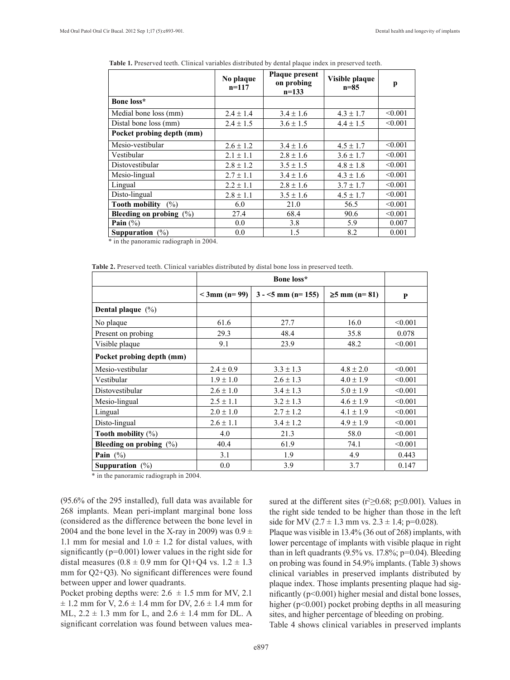|                              | No plaque<br>$n=117$ | <b>Plaque present</b><br>on probing<br>$n=133$ | Visible plaque<br>$n = 85$ | p       |
|------------------------------|----------------------|------------------------------------------------|----------------------------|---------|
| Bone loss*                   |                      |                                                |                            |         |
| Medial bone loss (mm)        | $2.4 \pm 1.4$        | $3.4 \pm 1.6$                                  | $4.3 \pm 1.7$              | < 0.001 |
| Distal bone loss (mm)        | $2.4 \pm 1.5$        | $3.6 \pm 1.5$                                  | $4.4 \pm 1.5$              | < 0.001 |
| Pocket probing depth (mm)    |                      |                                                |                            |         |
| Mesio-vestibular             | $2.6 \pm 1.2$        | $3.4 \pm 1.6$                                  | $4.5 \pm 1.7$              | < 0.001 |
| Vestibular                   | $2.1 \pm 1.1$        | $2.8 \pm 1.6$                                  | $3.6 \pm 1.7$              | < 0.001 |
| Distovestibular              | $2.8 \pm 1.2$        | $3.5 \pm 1.5$                                  | $4.8 \pm 1.8$              | < 0.001 |
| Mesio-lingual                | $2.7 \pm 1.1$        | $3.4 \pm 1.6$                                  | $4.3 \pm 1.6$              | < 0.001 |
| Lingual                      | $2.2 \pm 1.1$        | $2.8 \pm 1.6$                                  | $3.7 \pm 1.7$              | < 0.001 |
| Disto-lingual                | $2.8 \pm 1.1$        | $3.5 \pm 1.6$                                  | $4.5 \pm 1.7$              | < 0.001 |
| <b>Tooth mobility</b><br>(%) | 6.0                  | 21.0                                           | 56.5                       | < 0.001 |
| Bleeding on probing $(\%)$   | 27.4                 | 68.4                                           | 90.6                       | < 0.001 |
| Pain $(\% )$                 | 0.0                  | 3.8                                            | 5.9                        | 0.007   |
| Suppuration $(\%)$           | 0.0                  | 1.5                                            | 8.2                        | 0.001   |

|  |  |  | <b>Table 1.</b> Preserved teeth. Clinical variables distributed by dental plaque index in preserved teeth. |  |  |  |  |  |  |  |
|--|--|--|------------------------------------------------------------------------------------------------------------|--|--|--|--|--|--|--|
|--|--|--|------------------------------------------------------------------------------------------------------------|--|--|--|--|--|--|--|

\* in the panoramic radiograph in 2004.

| Table 2. Preserved teeth. Clinical variables distributed by distal bone loss in preserved teeth. |  |
|--------------------------------------------------------------------------------------------------|--|
|--------------------------------------------------------------------------------------------------|--|

|                            | $<$ 3mm (n= 99) | $3 - 5$ mm (n= 155) | $≥5$ mm (n= 81) | P       |
|----------------------------|-----------------|---------------------|-----------------|---------|
| Dental plaque $(\%)$       |                 |                     |                 |         |
| No plaque                  | 61.6            | 27.7                | 16.0            | < 0.001 |
| Present on probing         | 29.3            | 48.4                | 35.8            | 0.078   |
| Visible plaque             | 9.1             | 23.9                | 48.2            | < 0.001 |
| Pocket probing depth (mm)  |                 |                     |                 |         |
| Mesio-vestibular           | $2.4 \pm 0.9$   | $3.3 \pm 1.3$       | $4.8 \pm 2.0$   | < 0.001 |
| Vestibular                 | $1.9 \pm 1.0$   | $2.6 \pm 1.3$       | $4.0 \pm 1.9$   | < 0.001 |
| Distovestibular            | $2.6 \pm 1.0$   | $3.4 \pm 1.3$       | $5.0 \pm 1.9$   | < 0.001 |
| Mesio-lingual              | $2.5 \pm 1.1$   | $3.2 \pm 1.3$       | $4.6 \pm 1.9$   | < 0.001 |
| Lingual                    | $2.0 \pm 1.0$   | $2.7 \pm 1.2$       | $4.1 \pm 1.9$   | < 0.001 |
| Disto-lingual              | $2.6 \pm 1.1$   | $3.4 \pm 1.2$       | $4.9 \pm 1.9$   | < 0.001 |
| Tooth mobility $(\%)$      | 4.0             | 21.3                | 58.0            | < 0.001 |
| Bleeding on probing $(\%)$ | 40.4            | 61.9                | 74.1            | < 0.001 |
| Pain $(\%)$                | 3.1             | 1.9                 | 4.9             | 0.443   |
| Suppuration $(\%)$         | 0.0             | 3.9                 | 3.7             | 0.147   |

\* in the panoramic radiograph in 2004.

(95.6% of the 295 installed), full data was available for 268 implants. Mean peri-implant marginal bone loss (considered as the difference between the bone level in 2004 and the bone level in the X-ray in 2009) was  $0.9 \pm$ 1.1 mm for mesial and  $1.0 \pm 1.2$  for distal values, with significantly (p=0.001) lower values in the right side for distal measures ( $0.8 \pm 0.9$  mm for Q1+Q4 vs.  $1.2 \pm 1.3$ mm for Q2+Q3). No significant differences were found between upper and lower quadrants.

Pocket probing depths were:  $2.6 \pm 1.5$  mm for MV, 2.1  $\pm$  1.2 mm for V, 2.6  $\pm$  1.4 mm for DV, 2.6  $\pm$  1.4 mm for ML,  $2.2 \pm 1.3$  mm for L, and  $2.6 \pm 1.4$  mm for DL. A significant correlation was found between values mea-

sured at the different sites ( $r^2 \ge 0.68$ ;  $p \le 0.001$ ). Values in the right side tended to be higher than those in the left side for MV (2.7  $\pm$  1.3 mm vs. 2.3  $\pm$  1.4; p=0.028). Plaque was visible in 13.4% (36 out of 268) implants, with lower percentage of implants with visible plaque in right than in left quadrants  $(9.5\% \text{ vs. } 17.8\% \text{; } p=0.04)$ . Bleeding on probing was found in 54.9% implants. (Table 3) shows clinical variables in preserved implants distributed by plaque index. Those implants presenting plaque had significantly ( $p<0.001$ ) higher mesial and distal bone losses, higher (p<0.001) pocket probing depths in all measuring sites, and higher percentage of bleeding on probing. Table 4 shows clinical variables in preserved implants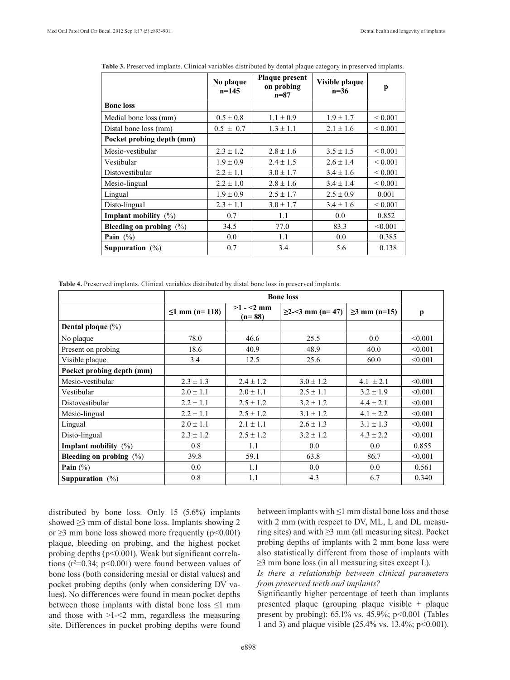|                            | No plaque<br>$n=145$ | <b>Plaque present</b><br>on probing<br>$n = 87$ | Visible plaque<br>$n = 36$ | p            |
|----------------------------|----------------------|-------------------------------------------------|----------------------------|--------------|
| <b>Bone loss</b>           |                      |                                                 |                            |              |
| Medial bone loss (mm)      | $0.5 \pm 0.8$        | $1.1 \pm 0.9$                                   | $1.9 \pm 1.7$              | ${}_{0.001}$ |
| Distal bone loss (mm)      | $0.5 \pm 0.7$        | $1.3 \pm 1.1$                                   | $2.1 \pm 1.6$              | ${}_{0.001}$ |
| Pocket probing depth (mm)  |                      |                                                 |                            |              |
| Mesio-vestibular           | $2.3 \pm 1.2$        | $2.8 \pm 1.6$                                   | $3.5 \pm 1.5$              | ${}_{0.001}$ |
| Vestibular                 | $1.9 \pm 0.9$        | $2.4 \pm 1.5$                                   | $2.6 \pm 1.4$              | ${}_{0.001}$ |
| Distovestibular            | $2.2 \pm 1.1$        | $3.0 \pm 1.7$                                   | $3.4 \pm 1.6$              | ${}_{0.001}$ |
| Mesio-lingual              | $2.2 \pm 1.0$        | $2.8 \pm 1.6$                                   | $3.4 \pm 1.4$              | ${}_{0.001}$ |
| Lingual                    | $1.9 \pm 0.9$        | $2.5 \pm 1.7$                                   | $2.5 \pm 0.9$              | 0.001        |
| Disto-lingual              | $2.3 \pm 1.1$        | $3.0 \pm 1.7$                                   | $3.4 \pm 1.6$              | ${}_{0.001}$ |
| Implant mobility $(\%)$    | 0.7                  | 1.1                                             | 0.0                        | 0.852        |
| Bleeding on probing $(\%)$ | 34.5                 | 77.0                                            | 83.3                       | < 0.001      |
| Pain $(\%)$                | 0.0                  | 1.1                                             | 0.0                        | 0.385        |
| Suppuration $(\%)$         | 0.7                  | 3.4                                             | 5.6                        | 0.138        |

**Table 3.** Preserved implants. Clinical variables distributed by dental plaque category in preserved implants.

**Table 4.** Preserved implants. Clinical variables distributed by distal bone loss in preserved implants.

|                            | <b>Bone loss</b> |                         |                        |                |         |
|----------------------------|------------------|-------------------------|------------------------|----------------|---------|
|                            | $≤1$ mm (n= 118) | $>1 - 2$ mm<br>$(n=88)$ | $\geq$ 2-<3 mm (n= 47) | $≥3$ mm (n=15) | p       |
| Dental plaque $(\% )$      |                  |                         |                        |                |         |
| No plaque                  | 78.0             | 46.6                    | 25.5                   | 0.0            | < 0.001 |
| Present on probing         | 18.6             | 40.9                    | 48.9                   | 40.0           | < 0.001 |
| Visible plaque             | 3.4              | 12.5                    | 25.6                   | 60.0           | < 0.001 |
| Pocket probing depth (mm)  |                  |                         |                        |                |         |
| Mesio-vestibular           | $2.3 \pm 1.3$    | $2.4 \pm 1.2$           | $3.0 \pm 1.2$          | $4.1 \pm 2.1$  | < 0.001 |
| Vestibular                 | $2.0 \pm 1.1$    | $2.0 \pm 1.1$           | $2.5 \pm 1.1$          | $3.2 \pm 1.9$  | < 0.001 |
| Distovestibular            | $2.2 \pm 1.1$    | $2.5 \pm 1.2$           | $3.2 \pm 1.2$          | $4.4 \pm 2.1$  | < 0.001 |
| Mesio-lingual              | $2.2 \pm 1.1$    | $2.5 \pm 1.2$           | $3.1 \pm 1.2$          | $4.1 \pm 2.2$  | < 0.001 |
| Lingual                    | $2.0 \pm 1.1$    | $2.1 \pm 1.1$           | $2.6 \pm 1.3$          | $3.1 \pm 1.3$  | < 0.001 |
| Disto-lingual              | $2.3 \pm 1.2$    | $2.5 \pm 1.2$           | $3.2 \pm 1.2$          | $4.3 \pm 2.2$  | < 0.001 |
| Implant mobility $(\%)$    | 0.8              | 1.1                     | 0.0                    | 0.0            | 0.855   |
| Bleeding on probing $(\%)$ | 39.8             | 59.1                    | 63.8                   | 86.7           | < 0.001 |
| Pain $(\%)$                | 0.0              | 1.1                     | 0.0                    | 0.0            | 0.561   |
| Suppuration $(\%)$         | 0.8              | 1.1                     | 4.3                    | 6.7            | 0.340   |

distributed by bone loss. Only 15 (5.6%) implants showed  $\geq$ 3 mm of distal bone loss. Implants showing 2 or  $\geq$ 3 mm bone loss showed more frequently (p<0.001) plaque, bleeding on probing, and the highest pocket probing depths (p<0.001). Weak but significant correlations ( $r^2$ =0.34;  $p$ <0.001) were found between values of bone loss (both considering mesial or distal values) and pocket probing depths (only when considering DV values). No differences were found in mean pocket depths between those implants with distal bone loss ≤1 mm and those with  $>1-2$  mm, regardless the measuring site. Differences in pocket probing depths were found

between implants with ≤1 mm distal bone loss and those with 2 mm (with respect to DV, ML, L and DL measuring sites) and with  $\geq$ 3 mm (all measuring sites). Pocket probing depths of implants with 2 mm bone loss were also statistically different from those of implants with  $\geq$ 3 mm bone loss (in all measuring sites except L).

*Is there a relationship between clinical parameters from preserved teeth and implants?* 

Significantly higher percentage of teeth than implants presented plaque (grouping plaque visible + plaque present by probing):  $65.1\%$  vs.  $45.9\%$ ;  $p<0.001$  (Tables 1 and 3) and plaque visible (25.4% vs. 13.4%; p<0.001).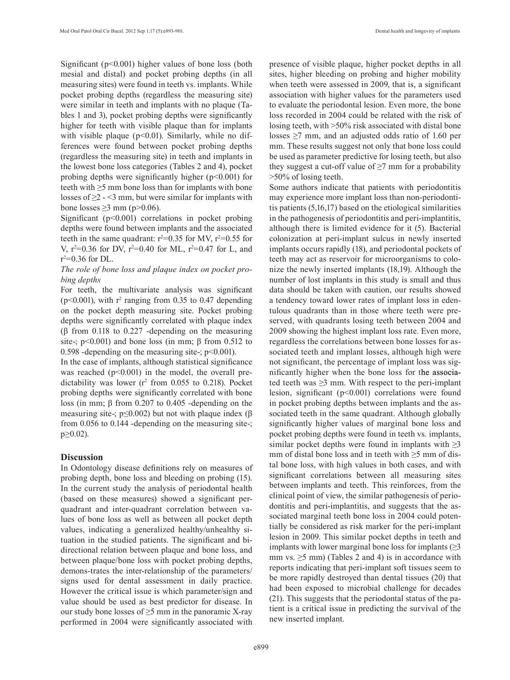Significant ( $p<0.001$ ) higher values of bone loss (both mesial and distal) and pocket probing depths (in all measuring sites) were found in teeth vs. implants. While pocket probing depths (regardless the measuring site) were similar in teeth and implants with no plaque (Tables 1 and 3), pocket probing depths were significantly higher for teeth with visible plaque than for implants with visible plaque  $(p<0.01)$ . Similarly, while no differences were found between pocket probing depths (regardless the measuring site) in teeth and implants in the lowest bone loss categories (Tables 2 and 4), pocket probing depths were significantly higher ( $p$ <0.001) for teeth with ≥5 mm bone loss than for implants with bone losses of  $\geq$  2 -  $\leq$  3 mm, but were similar for implants with bone losses  $\geq$ 3 mm (p>0.06).

Significant ( $p<0.001$ ) correlations in pocket probing depths were found between implants and the associated teeth in the same quadrant:  $r^2=0.35$  for MV,  $r^2=0.55$  for V,  $r^2=0.36$  for DV,  $r^2=0.40$  for ML,  $r^2=0.47$  for L, and  $r^2 = 0.36$  for DL.

# *The role of bone loss and plaque index on pocket probing depths*

For teeth, the multivariate analysis was significant  $(p<0.001)$ , with r<sup>2</sup> ranging from 0.35 to 0.47 depending on the pocket depth measuring site. Pocket probing depths were significantly correlated with plaque index (β from 0.118 to 0.227 -depending on the measuring site-;  $p<0.001$ ) and bone loss (in mm;  $\beta$  from 0.512 to 0.598 -depending on the measuring site-; p<0.001).

In the case of implants, although statistical significance was reached  $(p<0.001)$  in the model, the overall predictability was lower ( $r^2$  from 0.055 to 0.218). Pocket probing depths were significantly correlated with bone loss (in mm; β from 0.207 to 0.405 -depending on the measuring site-;  $p \le 0.002$ ) but not with plaque index ( $\beta$ from 0.056 to 0.144 -depending on the measuring site-;  $p \geq 0.02$ ).

# **Discussion**

In Odontology disease definitions rely on measures of probing depth, bone loss and bleeding on probing (15). In the current study the analysis of periodontal health (based on these measures) showed a significant perquadrant and inter-quadrant correlation between values of bone loss as well as between all pocket depth values, indicating a generalized healthy/unhealthy situation in the studied patients. The significant and bidirectional relation between plaque and bone loss, and between plaque/bone loss with pocket probing depths, demons-trates the inter-relationship of the parameters/ signs used for dental assessment in daily practice. However the critical issue is which parameter/sign and value should be used as best predictor for disease. In our study bone losses of  $\geq$ 5 mm in the panoramic X-ray performed in 2004 were significantly associated with

presence of visible plaque, higher pocket depths in all sites, higher bleeding on probing and higher mobility when teeth were assessed in 2009, that is, a significant association with higher values for the parameters used to evaluate the periodontal lesion. Even more, the bone loss recorded in 2004 could be related with the risk of losing teeth, with >50% risk associated with distal bone losses ≥7 mm, and an adjusted odds ratio of 1.60 per mm. These results suggest not only that bone loss could be used as parameter predictive for losing teeth, but also they suggest a cut-off value of  $\geq$ 7 mm for a probability >50% of losing teeth.

Some authors indicate that patients with periodontitis may experience more implant loss than non-periodontitis patients (5,16,17) based on the etiological similarities in the pathogenesis of periodontitis and peri-implantitis, although there is limited evidence for it (5). Bacterial colonization at peri-implant sulcus in newly inserted implants occurs rapidly (18), and periodontal pockets of teeth may act as reservoir for microorganisms to colonize the newly inserted implants (18,19). Although the number of lost implants in this study is small and thus data should be taken with caution, our results showed a tendency toward lower rates of implant loss in edentulous quadrants than in those where teeth were preserved, with quadrants losing teeth between 2004 and 2009 showing the highest implant loss rate. Even more, regardless the correlations between bone losses for associated teeth and implant losses, although high were not significant, the percentage of implant loss was significantly higher when the bone loss for the associated teeth was  $\geq$ 3 mm. With respect to the peri-implant lesion, significant (p<0.001) correlations were found in pocket probing depths between implants and the associated teeth in the same quadrant. Although globally significantly higher values of marginal bone loss and pocket probing depths were found in teeth vs. implants, similar pocket depths were found in implants with  $\geq$ 3 mm of distal bone loss and in teeth with  $\geq$ 5 mm of distal bone loss, with high values in both cases, and with significant correlations between all measuring sites between implants and teeth. This reinforces, from the clinical point of view, the similar pathogenesis of periodontitis and peri-implantitis, and suggests that the associated marginal teeth bone loss in 2004 could potentially be considered as risk marker for the peri-implant lesion in 2009. This similar pocket depths in teeth and implants with lower marginal bone loss for implants  $(\geq)$ mm vs.  $\geq$ 5 mm) (Tables 2 and 4) is in accordance with reports indicating that peri-implant soft tissues seem to be more rapidly destroyed than dental tissues (20) that had been exposed to microbial challenge for decades (21). This suggests that the periodontal status of the patient is a critical issue in predicting the survival of the new inserted implant.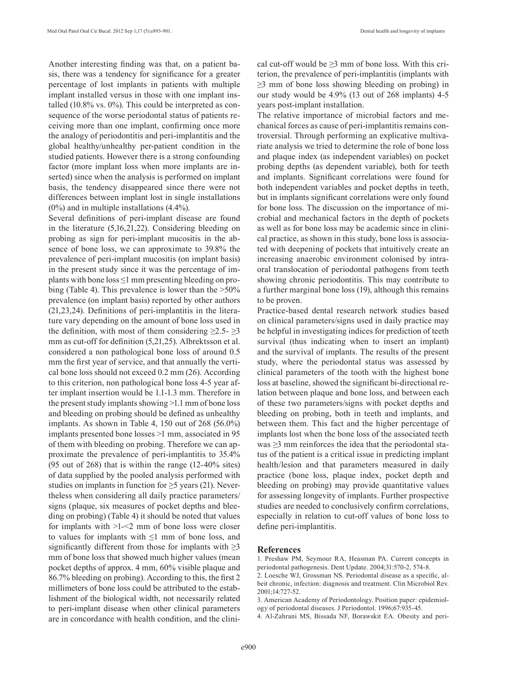Another interesting finding was that, on a patient basis, there was a tendency for significance for a greater percentage of lost implants in patients with multiple implant installed versus in those with one implant installed (10.8% vs. 0%). This could be interpreted as consequence of the worse periodontal status of patients receiving more than one implant, confirming once more the analogy of periodontitis and peri-implantitis and the global healthy/unhealthy per-patient condition in the studied patients. However there is a strong confounding factor (more implant loss when more implants are inserted) since when the analysis is performed on implant basis, the tendency disappeared since there were not differences between implant lost in single installations (0%) and in multiple installations (4.4%).

Several definitions of peri-implant disease are found in the literature (5,16,21,22). Considering bleeding on probing as sign for peri-implant mucositis in the absence of bone loss, we can approximate to 39.8% the prevalence of peri-implant mucositis (on implant basis) in the present study since it was the percentage of implants with bone loss ≤1 mm presenting bleeding on probing (Table 4). This prevalence is lower than the  $>50\%$ prevalence (on implant basis) reported by other authors (21,23,24). Definitions of peri-implantitis in the literature vary depending on the amount of bone loss used in the definition, with most of them considering  $\geq 2.5 - \geq 3$ mm as cut-off for definition (5,21,25). Albrektsson et al. considered a non pathological bone loss of around 0.5 mm the first year of service, and that annually the vertical bone loss should not exceed 0.2 mm (26). According to this criterion, non pathological bone loss 4-5 year after implant insertion would be 1.1-1.3 mm. Therefore in the present study implants showing >1.1 mm of bone loss and bleeding on probing should be defined as unhealthy implants. As shown in Table 4, 150 out of 268 (56.0%) implants presented bone losses >1 mm, associated in 95 of them with bleeding on probing. Therefore we can approximate the prevalence of peri-implantitis to 35.4% (95 out of 268) that is within the range (12-40% sites) of data supplied by the pooled analysis performed with studies on implants in function for  $\geq$ 5 years (21). Nevertheless when considering all daily practice parameters/ signs (plaque, six measures of pocket depths and bleeding on probing) (Table 4) it should be noted that values for implants with >1-<2 mm of bone loss were closer to values for implants with ≤1 mm of bone loss, and significantly different from those for implants with  $\geq$ 3 mm of bone loss that showed much higher values (mean pocket depths of approx. 4 mm, 60% visible plaque and 86.7% bleeding on probing). According to this, the first 2 millimeters of bone loss could be attributed to the establishment of the biological width, not necessarily related to peri-implant disease when other clinical parameters are in concordance with health condition, and the clinical cut-off would be  $\geq$ 3 mm of bone loss. With this criterion, the prevalence of peri-implantitis (implants with  $\geq$ 3 mm of bone loss showing bleeding on probing) in our study would be 4.9% (13 out of 268 implants) 4-5 years post-implant installation.

The relative importance of microbial factors and mechanical forces as cause of peri-implantitis remains controversial. Through performing an explicative multivariate analysis we tried to determine the role of bone loss and plaque index (as independent variables) on pocket probing depths (as dependent variable), both for teeth and implants. Significant correlations were found for both independent variables and pocket depths in teeth, but in implants significant correlations were only found for bone loss. The discussion on the importance of microbial and mechanical factors in the depth of pockets as well as for bone loss may be academic since in clinical practice, as shown in this study, bone loss is associated with deepening of pockets that intuitively create an increasing anaerobic environment colonised by intraoral translocation of periodontal pathogens from teeth showing chronic periodontitis. This may contribute to a further marginal bone loss (19), although this remains to be proven.

Practice-based dental research network studies based on clinical parameters/signs used in daily practice may be helpful in investigating indices for prediction of teeth survival (thus indicating when to insert an implant) and the survival of implants. The results of the present study, where the periodontal status was assessed by clinical parameters of the tooth with the highest bone loss at baseline, showed the significant bi-directional relation between plaque and bone loss, and between each of these two parameters/signs with pocket depths and bleeding on probing, both in teeth and implants, and between them. This fact and the higher percentage of implants lost when the bone loss of the associated teeth was  $\geq$ 3 mm reinforces the idea that the periodontal status of the patient is a critical issue in predicting implant health/lesion and that parameters measured in daily practice (bone loss, plaque index, pocket depth and bleeding on probing) may provide quantitative values for assessing longevity of implants. Further prospective studies are needed to conclusively confirm correlations, especially in relation to cut-off values of bone loss to define peri-implantitis.

#### **References**

1. Preshaw PM, Seymour RA, Heasman PA. Current concepts in periodontal pathogenesis. Dent Update. 2004;31:570-2, 574-8.

2. Loesche WJ, Grossman NS. Periodontal disease as a specific, albeit chronic, infection: diagnosis and treatment. Clin Microbiol Rev. 2001;14:727-52.

3. American Academy of Periodontology. Position paper: epidemiology of periodontal diseases. J Periodontol. 1996;67:935-45.

4. Al-Zahrani MS, Bissada NF, Borawskit EA. Obesity and peri-